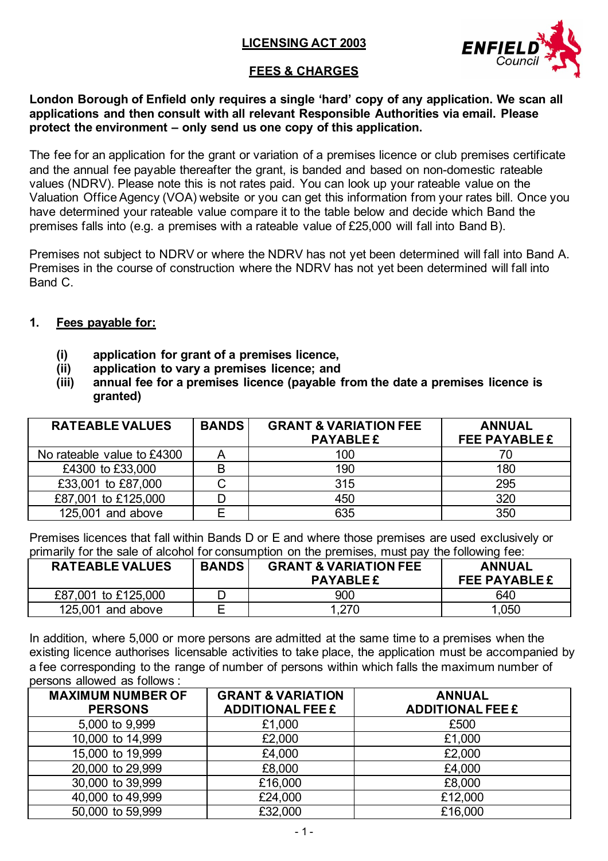## **LICENSING ACT 2003**



# **FEES & CHARGES**

**London Borough of Enfield only requires a single 'hard' copy of any application. We scan all applications and then consult with all relevant Responsible Authorities via email. Please protect the environment – only send us one copy of this application.**

The fee for an application for the grant or variation of a premises licence or club premises certificate and the annual fee payable thereafter the grant, is banded and based on non-domestic rateable values (NDRV). Please note this is not rates paid. You can look up your rateable value on the Valuation Office Agency (VOA) website or you can get this information from your rates bill. Once you have determined your rateable value compare it to the table below and decide which Band the premises falls into (e.g. a premises with a rateable value of £25,000 will fall into Band B).

Premises not subject to NDRV or where the NDRV has not yet been determined will fall into Band A. Premises in the course of construction where the NDRV has not yet been determined will fall into Band C.

#### **1. Fees payable for:**

- **(i) application for grant of a premises licence,**
- **(ii) application to vary a premises licence; and**
- **(iii) annual fee for a premises licence (payable from the date a premises licence is granted)**

| <b>RATEABLE VALUES</b>     | <b>BANDS</b> | <b>GRANT &amp; VARIATION FEE</b><br><b>PAYABLE £</b> | <b>ANNUAL</b><br><b>FEE PAYABLE £</b> |
|----------------------------|--------------|------------------------------------------------------|---------------------------------------|
| No rateable value to £4300 |              | 100                                                  | 70                                    |
| £4300 to £33,000           | B            | 190                                                  | 180                                   |
| £33,001 to £87,000         |              | 315                                                  | 295                                   |
| £87,001 to £125,000        |              | 450                                                  | 320                                   |
| 125,001 and above          | Е            | 635                                                  | 350                                   |

Premises licences that fall within Bands D or E and where those premises are used exclusively or primarily for the sale of alcohol for consumption on the premises, must pay the following fee:

| <b>RATEABLE VALUES</b> | <b>BANDS</b> | <b>GRANT &amp; VARIATION FEE</b><br><b>PAYABLE £</b> | <b>ANNUAL</b><br><b>FEE PAYABLE £</b> |
|------------------------|--------------|------------------------------------------------------|---------------------------------------|
| £87,001 to £125,000    |              | 900                                                  | 640                                   |
| $125,001$ and above    | ⊢            |                                                      | 1,050                                 |

In addition, where 5,000 or more persons are admitted at the same time to a premises when the existing licence authorises licensable activities to take place, the application must be accompanied by a fee corresponding to the range of number of persons within which falls the maximum number of persons allowed as follows :

| <b>MAXIMUM NUMBER OF</b><br><b>PERSONS</b> | <b>GRANT &amp; VARIATION</b><br><b>ADDITIONAL FEE £</b> | <b>ANNUAL</b><br><b>ADDITIONAL FEE £</b> |
|--------------------------------------------|---------------------------------------------------------|------------------------------------------|
| 5,000 to 9,999                             | £1,000                                                  | £500                                     |
| 10,000 to 14,999                           | £2,000                                                  | £1,000                                   |
| 15,000 to 19,999                           | £4,000                                                  | £2,000                                   |
| 20,000 to 29,999                           | £8,000                                                  | £4,000                                   |
| 30,000 to 39,999                           | £16,000                                                 | £8,000                                   |
| 40,000 to 49,999                           | £24,000                                                 | £12,000                                  |
| 50,000 to 59,999                           | £32,000                                                 | £16,000                                  |